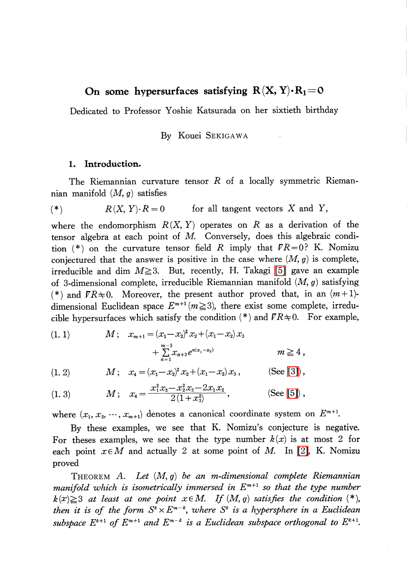# On some hypersurfaces satisfying  $R(X, Y) \cdot R_{1} = 0$

Dedicated to Professor Yoshie Katsurada on her sixtieth birthday

# By Kouei SEKIGAWA

### 1. Introduction.

The Riemannian curvature tensor  $R$  of a locally symmetric Riemannian manifold  $(M, g)$  satisfies

$$
(*) \t R(X, Y) \cdot R = 0 \t for all tangent vectors X and Y,
$$

where the endomorphism  $R(X, Y)$  operates on R as a derivation of the tensor algebra at each point of M. Conversely, does this algebraic condition (\*) on the curvature tensor field R imply that  $\sqrt{R}=0$ ? K. Nomizu conjectured that the answer is positive in the case where  $(M, g)$  is complete, irreducible and dim  $M \geq 3$ . But, recently, H. Takagi [\[5\]](#page-7-0) gave an example of 3-dimensional complete, irreducible Riemannian manifold  $(M, g)$  satisfying (\*) and  $\overline{r}R\neq 0$ . Moreover, the present author proved that, in an  $(m+1)$ dimensional Euclidean space  $E^{m+1}(m\geq 3)$ , there exist some complete, irreducible hypersurfaces which satisfy the condition  $(*)$  and  $\overline{VR}$   $\neq$  0. For example,

$$
(1. 1) \t\t M; \t xm+1 = (x1 - x2)2 x2 + (x1 - x2) x3 + \sum_{a=1}^{m-3} xa+3 ea(x1 - x2) \t\t m \ge 4 ,
$$

$$
(1, 2) \t\t M; \t x_4 = (x_1 - x_2)^2 x_2 + (x_1 - x_2) x_3, \t (See [3]),
$$

(1. 3) 
$$
M; \quad x_4 = \frac{x_1^2 x_3 - x_2^2 x_3 - 2x_1 x_2}{2(1+x_3^2)},
$$
 (See [5]),

where  $(x_{1}, x_{2}, \cdots, x_{m+1})$  denotes a canonical coordinate system on  $E^{m+1}$ .

By these examples, we see that K. Nomizu's conjecture is negative. For theses examples, we see that the type number  $k(x)$  is at most 2 for each point  $x\in M$  and actually 2 at some point of M. In [\[2\],](#page-7-2) K. Nomizu proved

THEOREM A. Let  $(M, g)$  be an m-dimensional complete Riemannian manifold which is isometrically immersed in  $E^{m+1}$  so that the type number  $k(x)\geq 3$  at least at one point  $x\in M$ . If  $(M, g)$  satisfies the condition (\*), then it is of the form  $S^{k}\times E^{m-k},$  where  $S^{k}$  is a hypersphere in a Euclidean subspace  $E^{k+1}$  of  $E^{m+1}$  and  $E^{m-k}$  is a Euclidean subspace orthogonal to  $E^{k+1}$ .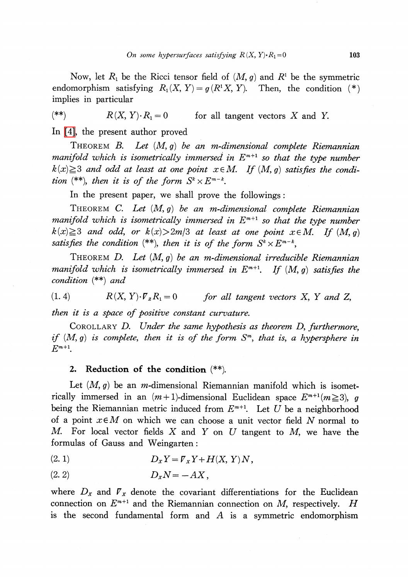Now, let  $R_{1}$  be the Ricci tensor field of  $(M, g)$  and  $R^{1}$  be the symmetric endomorphism satisfying  $R_{1}(X, Y)=g(R^{1}X, Y)$ . Then, the condition (\*) implies in particular

(\*\*)  $R(X, Y) \cdot R_{1}=0$  for all tangent vectors X and Y.

In [\[4\],](#page-7-3) the present author proved

THEOREM B. Let  $(M, g)$  be an m-dimensional complete Riemannian manifold which is isometrically immersed in  $E^{\mu+1}$  so that the type number  $k(x) \geq 3$  and odd at least at one point  $x \in M$ . If  $(M, g)$  satisfies the condition  $^{(**)}$ , then it is of the form  $S^{k}\times E^{m-k}$ .

In the present paper, we shall prove the followings:

THEOREM C. Let  $(M, g)$  be an m-dimensional complete Riemannian manifold which is isometrically immersed in  $E^{m+1}$  so that the type number  $k(x) \geq 3$  and odd, or  $k(x) > 2m/3$  at least at one point  $x \in M$ . If  $(M, g)$ satisfies the condition  $^{(**)}$ , then it is of the form  $S^{k}\times E^{m-k},$ 

THEOREM D. Let  $(M, g)$  be an m-dimensional irreducible Riemannian manifold which is isometrically immersed in  $E^{m+1}$ . If  $(M, g)$  satisfies the condition  $(**)$  and

(1. 4)  $R(X, Y)\cdot\overline{V}_{z}R_{1}=0$  for all tangent vectors X, Y and Z,

then it is a space of positive constant curvature.

COROLLARY D. Under the same hypothesis as theorem D, furthermore, if  $(M, g)$  is complete, then it is of the form  $S^{m}$ , that is, a hypersphere in  $E^{m+1}$ .

## 2. Reduction of the condition (\*\*).

Let  $(M, g)$  be an *m*-dimensional Riemannian manifold which is isometrically immersed in an  $(m+1)$ -dimensional Euclidean space  $E^{m+1}(m\geq 3)$ , g being the Riemannian metric induced from  $E^{m+1}$ . Let U be a neighborhood of a point  $x\in M$  on which we can choose a unit vector field N normal to M. For local vector fields X and Y on U tangent to M, we have the formulas of Gauss and Weingarten :

$$
(2. 1) \t\t Dx Y = \mathcal{F}x Y + H(X, Y) N,
$$

$$
(2.2) \t\t D_xN = -AX,
$$

where  $D_{X}$  and  $\nabla_{X}$  denote the covariant differentiations for the Euclidean connection on  $E^{m+1}$  and the Riemannian connection on M, respectively. H is the second fundamental form and A is a symmetric endomorphism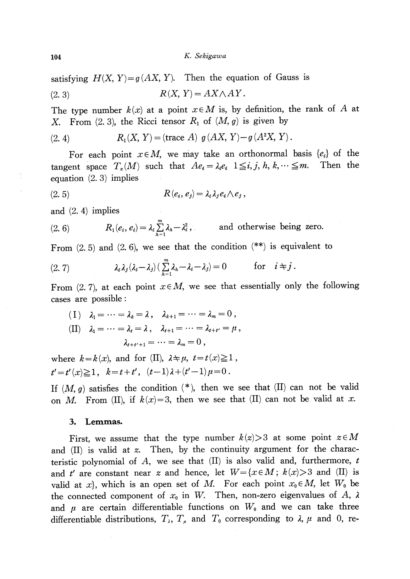satisfying  $H(X, Y) = g(AX, Y)$ . Then the equation of Gauss is

$$
(2.3) \t R(X, Y) = AX \wedge AY.
$$

The type number  $k(x)$  at a point  $x\in M$  is, by definition, the rank of A at X. From (2.3), the Ricci tensor  $R_{1}$  of  $(M, g)$  is given by

(2. 4) 
$$
R_1(X, Y) =
$$
(trace A)  $g(AX, Y) - g(A^2X, Y)$ .

For each point  $x\in M$ , we may take an orthonormal basis  $\{e_{i}\}$  of the tangent space  $T_{x}(M)$  such that  $Ae_{i}=\lambda_{i}e_{i}$   $1\leq i,j, h, k, \cdots\leq m$ . . Then the equation (2. 3) implies

$$
(2.5) \t\t R(e_i,e_j)=\lambda_i\lambda_je_i\wedge e_j,
$$

and (2. 4) implies

(2. 6) 
$$
R_1(e_i, e_i) = \lambda_i \sum_{h=1}^m \lambda_h - \lambda_i^2, \quad \text{and otherwise being zero.}
$$

From  $(2.5)$  and  $(2.6)$ , we see that the condition  $(**)$  is equivalent to

(2.7) 
$$
\lambda_i \lambda_j (\lambda_i - \lambda_j) \left( \sum_{h=1}^m \lambda_h - \lambda_i - \lambda_j \right) = 0 \quad \text{for} \quad i \neq j.
$$

From (2.7), at each point  $x\in M$ , we see that essentially only the following cases are possible :

$$
\begin{aligned}\n\text{(I)} \quad & \lambda_1 = \dots = \lambda_k = \lambda \,, \quad \lambda_{k+1} = \dots = \lambda_m = 0 \,, \\
\text{(II)} \quad & \lambda_1 = \dots = \lambda_t = \lambda \,, \quad \lambda_{t+1} = \dots = \lambda_{t+t'} = \mu \,, \\
& \lambda_{t+t'+1} = \dots = \lambda_m = 0 \,,\n\end{aligned}
$$

where  $k = k(x)$ , and for (II),  $\lambda \neq \mu$ ,  $t = t(x) \geq 1$ ,  $t'=t'(x)\geq 1 , \quad k=t+t' , \quad (t-1)\lambda+(t'-1)\mu=0 .$ 

If  $(M, g)$  satisfies the condition  $(*)$ , then we see that  $(II)$  can not be valid on M. From (II), if  $k(x)=3$ , then we see that (II) can not be valid at x.

#### 3. Lemmas.

First, we assume that the type number  $k(z) > 3$  at some point  $z \in M$ and  $(II)$  is valid at z. Then, by the continuity argument for the characteristic polynomial of  $A$ , we see that  $(II)$  is also valid and, furthermore,  $t$ and t' are constant near z and hence, let  $W = \{x \in M; k(x) > 3 \text{ and } (II) \text{ is }$ valid at x, which is an open set of M. For each point  $x_{0}\in M$ , let  $W_{0}$  be the connected component of  $x_{0}$  in W. Then, non-zero eigenvalues of A,  $\lambda$ and  $\mu$  are certain differentiable functions on  $W_{0}$  and we can take three differentiable distributions,  $T_{\lambda}$ ,  $T_{\mu}$  and  $T_{0}$  corresponding to  $\lambda$ ,  $\mu$  and 0, re-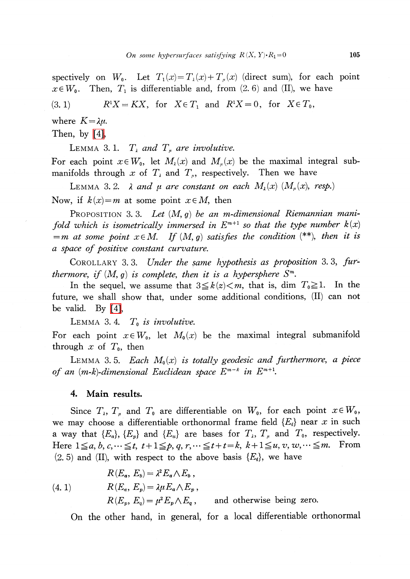spectively on  $W_{0}$ . Let  $T_{1}(x)=T_{\lambda}(x)+T_{\mu}(x)$  (direct sum), for each point  $x\in W_{0}$ . Then,  $T_{1}$  is differentiable and, from (2.6) and (II), we have (3. 1)  $R^{1}X=KX$ , for  $X\in T_{1}$  and  $R^{1}X=0$ , for  $X\in T_{0}$ , where  $K=\lambda\mu$ .

Then, by [\[4\],](#page-7-3)

LEMMA 3.1.  $T_{\lambda}$  and  $T_{\mu}$  are involutive.

For each point  $x\in W_{0}$ , let  $M_{\lambda}(x)$  and  $M_{\mu}(x)$  be the maximal integral submanifolds through  $x$  of  $T_{\lambda}$  and  $T_{p}$ , respectively. Then we have

LEMMA 3. 2.  $\lambda$  and  $\mu$  are constant on each  $M_{\lambda}(x)$   $(M_{\mu}(x),$  resp.) Now, if  $k(x)=m$  at some point  $x\in M$ , then

PROPOSITION 3.3. Let  $(M, g)$  be an m-dimensional Riemannian manifold which is isometrically immersed in  $E^{m+1}$  so that the type number  $k(x)$  $=m$  at some point  $x\in M$ . If  $(M, g)$  satisfies the condition (\*\*), then it is a space of positive constant curvature.

COROLLARY 3.3. Under the same hypothesis as proposition 3.3, furthermore, if  $(M, g)$  is complete, then it is a hypersphere  $S^{m}$ .

In the sequel, we assume that  $3 \leq k(z) < m$ , that is, dim  $T_{0} \geq 1$ . In the future, we shall show that, under some additional conditions, (II) can not be valid. By [\[4\],](#page-7-3)

LEMMA 3.4.  $T_{0}$  is involutive.

For each point  $x\in W_{0}$ , let  $M_{0}(x)$  be the maximal integral submanifold through  $x$  of  $T_{0}$ , then

LEMMA 3.5. Each  $M_{0}(x)$  is totally geodesic and furthermore, a piece of an  $(m-k)$ -dimensional Euclidean space  $E^{m-k}$  in  $E^{m+1}$ .

4. Main results.

Since  $T_{\lambda}$ ,  $T_{\mu}$  and  $T_{0}$  are differentiable on  $W_{0}$ , for each point  $x\in W_{0}$ , we may choose a differentiable orthonormal frame field  $\{E_{i}\}$  near x in such a way that  $\{E_{a}\}, \{E_{p}\}$  and  $\{E_{u}\}$  are bases for  $T_{\lambda}$ ,  $T_{\mu}$  and  $T_{0}$ , respectively. Here  $1\leq a, b, c, \dots \leq t$ ,  $t+1\leq p, q, r, \dots \leq t+t=k$ ,  $k+1\leq u, v, w, \dots \leq m$ . From  $(2.5)$  and (II), with respect to the above basis  $\{E_{i}\},$  we have

(4. 1) 
$$
R(E_a, E_b) = \lambda^2 E_a \wedge E_b,
$$

$$
R(E_a, E_p) = \lambda \mu E_a \wedge E_p,
$$

$$
R(E_p, E_q) = \mu^2 E_p \wedge E_q,
$$
 and otherwise being zero.

On the other hand, in general, for a local differentiable orthonormal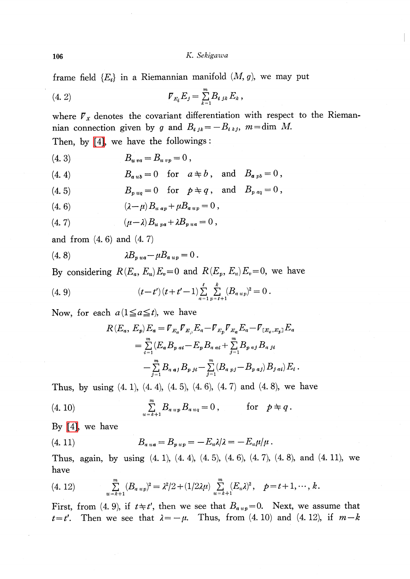frame field  $\{E_{i}\}\$ in a Riemannian manifold  $(M, g)$ , we may put

(4. 2) 
$$
\qquad \qquad \mathcal{V}_{E_i} E_j = \sum_{k=1}^m B_{i,jk} E_k \,,
$$

where  $\mathcal{F}_X$  denotes the covariant differentiation with respect to the Riemannian connection given by g and  $B_{i,jk}=-B_{i\,kj}$ ,  $m=\dim M$ . Then, by [\[4\],](#page-7-3) we have the followings :

$$
(4.3) \t Bu va = Bu vp = 0,
$$

$$
(4. 4) \t Baub = 0 \t for a \neq b, and Bapb = 0,
$$

$$
(4.5) \tBp uq = 0 \tfor \t p \neq q \t and \tBp aq = 0,
$$

(4. 6) 
$$
(\lambda - \mu) B_{u a p} + \mu B_{a u p} = 0,
$$

$$
(4.7) \qquad \qquad (\mu - \lambda) B_{u \,\,pa} + \lambda B_{p \,\,ua} = 0 \;,
$$

and from  $(4.6)$  and  $(4.7)$ 

(4. 8) \lambda B\_{pua}-\mu B\_{aup}=0 .

By considering  $R(E_{a}, E_{u})E_{v}=0$  and  $R(E_{p}, E_{u})E_{v}=0$ , we have

(4. 9) 
$$
(t-t')(t+t'-1)\sum_{a=1}^t\sum_{p=t+1}^k(B_{a\;up})^2=0.
$$

Now, for each  $a(1\leq a\leq t)$ , we have

$$
R(E_a, E_p) E_a = V_{E_a} V_{E_p} E_a - V_{E_p} V_{E_a} E_a - V_{[E_a, E_p]} E_a
$$
  
= 
$$
\sum_{i=1}^{m} (E_a B_{p \ at} - E_p B_{q \ at} + \sum_{j=1}^{m} B_{p \ at} B_{q \ at} i
$$
  
- 
$$
\sum_{j=1}^{m} B_{q \ at} B_{p \ at} - \sum_{j=1}^{m} (B_{q \ pt} - B_{p \ at}) B_{p \ at} E_i.
$$

Thus, by using  $(4, 1)$ ,  $(4, 4)$ ,  $(4, 5)$ ,  $(4, 6)$ ,  $(4, 7)$  and  $(4, 8)$ , we have

(4. 10) 
$$
\sum_{u=k+1}^{m} B_{a\,up} B_{a\,uq} = 0, \qquad \text{for} \quad p \neq q.
$$

By [\[4\],](#page-7-3) we have

(4. 11) 
$$
B_{a\,ua} = B_{p\,u\,p} = -E_u\lambda/\lambda = -E_u\mu/\mu.
$$

Thus, again, by using (4. 1), (4. 4), (4. 5), (4. 6), (4. 7), (4. 8), and (4. 11), we have

$$
(4. 12) \qquad \sum_{u=k+1}^{m} (B_{a \, up})^2 = \lambda^2/2 + (1/2\lambda\mu) \sum_{u=k+1}^{m} (E_u \lambda)^2, \quad p = t+1, \cdots, k.
$$

First, from (4.9), if  $t \neq t'$ , then we see that  $B_{a \mu} = 0$ . Next, we assume that  $t=t'$ . Then we see that  $\lambda=-\mu$ . Thus, from (4. 10) and (4. 12), if  $m-k$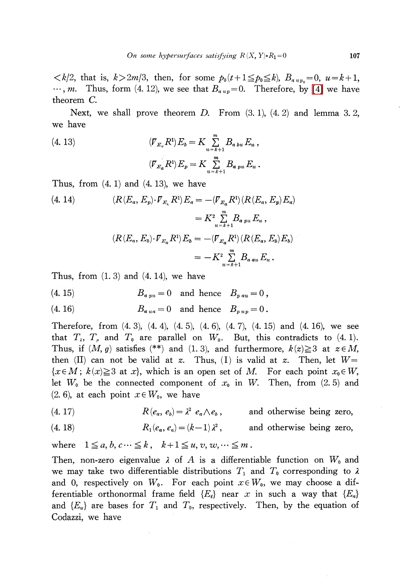$\langle k/2, \text{ that is, } k>2m/3, \text{ then, for some } p_{0}(t+1)\leq p_{0}\leq k, B_{a \mu p_{0}}=0, u=k+1,$  $\ldots$ , m. Thus, form (4. 12), we see that  $B_{a \mu}$  = 0. Therefore, by [\[4\]](#page-7-3) we have theorem C.

Next, we shall prove theorem  $D$ . From  $(3. 1)$ ,  $(4. 2)$  and lemma 3.2, we have

(4. 13) 
$$
(\mathcal{F}_{E_a} R^1) E_b = K \sum_{u=k+1}^m B_{a \, bu} E_u,
$$

$$
(\mathcal{F}_{E_a} R^1) E_p = K \sum_{u=k+1}^m B_{a \, pu} E_u.
$$

Thus, from  $(4, 1)$  and  $(4, 13)$ , we have

(4. 14) 
$$
(R(E_a, E_p) \cdot \overline{V}_{E_a} R^1) E_a = -(\overline{V}_{E_a} R^1) (R(E_a, E_p) E_a)
$$

$$
= K^2 \sum_{u = k+1}^m B_{a \, pu} E_u,
$$

$$
(R(E_a, E_b) \cdot \overline{V}_{E_a} R^1) E_b = -(\overline{V}_{E_a} R^1) (R(E_a, E_b) E_b)
$$

$$
= -K^2 \sum_{u = k+1}^m B_{a \, au} E_u.
$$

Thus, from  $(1, 3)$  and  $(4, 14)$ , we have

$$
(4. 15) \t\t Ba pu = 0 \t and hence \t Bp au = 0,
$$

$$
(4. 16) \t Baua = 0 \t and hence \t Bpup = 0.
$$

Therefore, from (4. 3), (4. 4), (4. 5), (4. 6), (4. 7), (4. 15) and (4. 16), we see that  $T_{\lambda}$ ,  $T_{\mu}$  and  $T_{0}$  are parallel on  $W_{0}$ . But, this contradicts to (4. 1). Thus, if  $(M, g)$  satisfies (\*\*) and (1. 3), and furthermore,  $k(z)\geq 3$  at  $z\in M$ , then (II) can not be valid at z. Thus, (I) is valid at z. Then, let  $W=$  ${x\in M; k(x) \geq 3$  at x, which is an open set of M. For each point  $x_{0}\in W,$ let  $W_{0}$  be the connected component of  $x_{0}$  in W. Then, from (2.5) and  $(2, 6)$ , at each point  $x\in W_{0}$ , we have

(4. 17)  $R(e_{a}, e_{b})=\lambda^{2}e_{a}\wedge e_{b}$ , , and otherwise being zero,

(4. 18) 
$$
R_1(e_a, e_a) = (k-1)\lambda^2
$$
, and otherwise being zero,

where  $1\leq a, b, c\cdots\leq k$ ,  $k+1\leq u, v, w, \cdots\leq m$ 

Then, non-zero eigenvalue  $\lambda$  of A is a differentiable function on  $W_{0}$  and we may take two differentiable distributions  $T_{1}$  and  $T_{0}$  corresponding to  $\lambda$ and 0, respectively on  $W_{0}$ . For each point  $x\in W_{0}$ , we may choose a differentiable orthonormal frame field  $\{E_{i}\}\$ near x in such a way that  $\{E_{a}\}\$ and  $\{E_u\}$  are bases for  $T_{1}$  and  $T_{0}$ , respectively. Then, by the equation of Codazzi, we have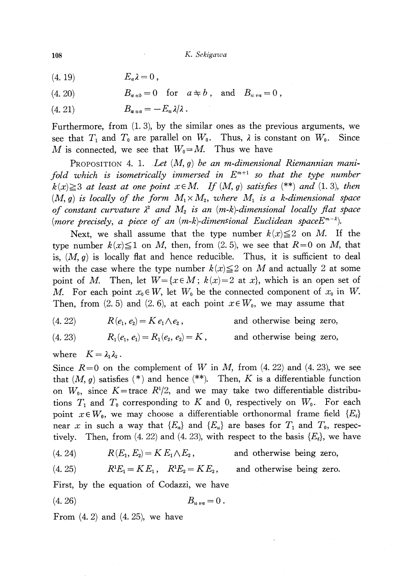- (4. 19)  $E_{\alpha} \lambda = 0$ ,
- (4. 20)  $B_{aub}=0$  for  $a\neq b$ , and  $B_{uva}=0$ ,
- (4. 21)  $B_{a\mu a}=-E_{u}\lambda/\lambda$ .

Furthermore, from (1. 3), by the similar ones as the previous arguments, we see that  $T_{1}$  and  $T_{0}$  are parallel on  $W_{0}$ . Thus,  $\lambda$  is constant on  $W_{0}$ . Since M is connected, we see that  $W_{0}=M$ . Thus we have

PROPOSITION 4. 1. Let  $(M, g)$  be an m-dimensional Riemannian manifold which is isometrically immersed in  $E^{m+1}$  so that the type number  $k(x) \geq 3$  at least at one point  $x \in M$ . If  $(M, g)$  satisfies (\*\*) and (1. 3), then  $(M,\,g)$  is locally of the form  $\,M_{1}\times M_{2},\,$  where  $\,M_{1}\,$  is a k-dimensional space of constant curvature  $\lambda^{2}$  and  $M_{2}$  is an (m-k)-dimensional locally flat space (more precisely, a piece of an  $(m-k)$ -dimensional Euclidean space $E^{m-k}$ ).

Next, we shall assume that the type number  $k(x) \leq 2$  on M. If the type number  $k(x) \leq 1$  on M, then, from (2.5), we see that  $R=0$  on M, that is,  $(M, g)$  is locally flat and hence reducible. Thus, it is sufficient to deal with the case where the type number  $k(x) \leq 2$  on M and actually 2 at some point of M. Then, let  $W = \{x \in M; k(x)=2 \text{ at } x\}$ , which is an open set of M. For each point  $x_{0}\in W$ , let  $W_{0}$  be the connected component of  $x_{0}$  in W. Then, from (2.5) and (2.6), at each point  $x\in W_{0}$ , we may assume that

(4. 22) 
$$
R(e_1, e_2) = K e_1 \wedge e_2, \text{ and otherwise being zero,}
$$
  
(4. 23) 
$$
R_1(e_1, e_1) = R_1(e_2, e_2) = K, \text{ and otherwise being zero,}
$$

where  $K = \lambda_{1}\lambda_{2}$ .

Since  $R=0$  on the complement of W in M, from  $(4. 22)$  and  $(4. 23)$ , we see that  $(M, g)$  satisfies  $(*)$  and hence  $(**)$ . Then, K is a differentiable function on  $W_{0}$ , since  $K$ =trace  $R^{1}/2$ , and we may take two differentiable distributions  $T_{1}$  and  $T_{0}$  corresponding to K and 0, respectively on  $W_{0}$ . For each point  $x\in W_{0}$ , we may choose a differentiable orthonormal frame field  $\{E_{i}\}$ near  $x$  in such a way that  $\{E_{a}\}$  and  $\{E_{u}\}$  are bases for  $T_{1}$  and  $T_{0},$  respectively. Then, from (4. 22) and (4. 23), with respect to the basis  $\{E_{i}\}\$ , we have

(4. 24)  $R(E_{1}, E_{2})=K E_{1}\wedge E_{2}$ , and otherwise being zero,

(4. 25)  $R^{1}E_{1}=KE_{1}$ ,  $R^{1}E_{2}=KE_{2}$ , and otherwise being zero.

First, by the equation of Codazzi, we have

$$
(4.26) \t\t Bu va = 0.
$$

From  $(4, 2)$  and  $(4, 25)$ , we have